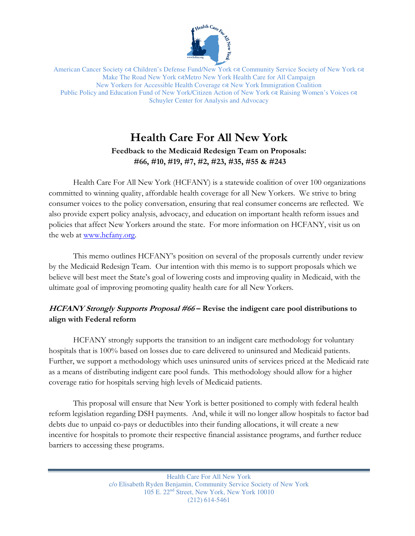

American Cancer Society & Children's Defense Fund/New York & Community Service Society of New York & Make The Road New York  $\infty$ Metro New York Health Care for All Campaign New Yorkers for Accessible Health Coverage  $\infty$  New York Immigration Coalition Public Policy and Education Fund of New York/Citizen Action of New York  $\alpha$ Raising Women's Voices  $\alpha$ Schuyler Center for Analysis and Advocacy

# Health Care For All New York

## Feedback to the Medicaid Redesign Team on Proposals: #66, #10, #19, #7, #2, #23, #35, #55 & #243

Health Care For All New York (HCFANY) is a statewide coalition of over 100 organizations committed to winning quality, affordable health coverage for all New Yorkers. We strive to bring consumer voices to the policy conversation, ensuring that real consumer concerns are reflected. We also provide expert policy analysis, advocacy, and education on important health reform issues and policies that affect New Yorkers around the state. For more information on HCFANY, visit us on the web at www.hcfany.org.

This memo outlines HCFANY's position on several of the proposals currently under review by the Medicaid Redesign Team. Our intention with this memo is to support proposals which we believe will best meet the State's goal of lowering costs and improving quality in Medicaid, with the ultimate goal of improving promoting quality health care for all New Yorkers.

# HCFANY Strongly Supports Proposal #66 – Revise the indigent care pool distributions to align with Federal reform

HCFANY strongly supports the transition to an indigent care methodology for voluntary hospitals that is 100% based on losses due to care delivered to uninsured and Medicaid patients. Further, we support a methodology which uses uninsured units of services priced at the Medicaid rate as a means of distributing indigent care pool funds. This methodology should allow for a higher coverage ratio for hospitals serving high levels of Medicaid patients.

This proposal will ensure that New York is better positioned to comply with federal health reform legislation regarding DSH payments. And, while it will no longer allow hospitals to factor bad debts due to unpaid co-pays or deductibles into their funding allocations, it will create a new incentive for hospitals to promote their respective financial assistance programs, and further reduce barriers to accessing these programs.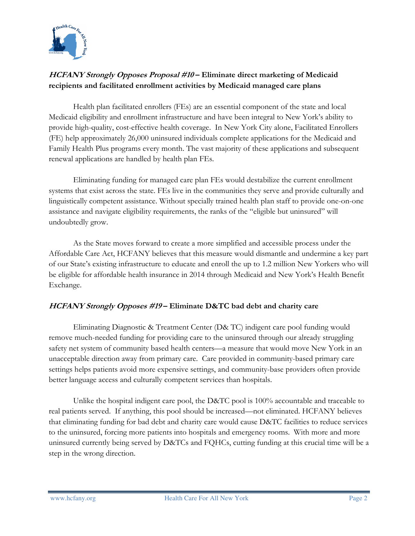

# HCFANY Strongly Opposes Proposal #10 – Eliminate direct marketing of Medicaid recipients and facilitated enrollment activities by Medicaid managed care plans

Health plan facilitated enrollers (FEs) are an essential component of the state and local Medicaid eligibility and enrollment infrastructure and have been integral to New York's ability to provide high-quality, cost-effective health coverage. In New York City alone, Facilitated Enrollers (FE) help approximately 26,000 uninsured individuals complete applications for the Medicaid and Family Health Plus programs every month. The vast majority of these applications and subsequent renewal applications are handled by health plan FEs.

Eliminating funding for managed care plan FEs would destabilize the current enrollment systems that exist across the state. FEs live in the communities they serve and provide culturally and linguistically competent assistance. Without specially trained health plan staff to provide one-on-one assistance and navigate eligibility requirements, the ranks of the "eligible but uninsured" will undoubtedly grow.

As the State moves forward to create a more simplified and accessible process under the Affordable Care Act, HCFANY believes that this measure would dismantle and undermine a key part of our State's existing infrastructure to educate and enroll the up to 1.2 million New Yorkers who will be eligible for affordable health insurance in 2014 through Medicaid and New York's Health Benefit Exchange.

#### $HCFANY$  *Strongly Opposes #19* – Eliminate D&TC bad debt and charity care

Eliminating Diagnostic & Treatment Center (D& TC) indigent care pool funding would remove much-needed funding for providing care to the uninsured through our already struggling safety net system of community based health centers—a measure that would move New York in an unacceptable direction away from primary care. Care provided in community-based primary care settings helps patients avoid more expensive settings, and community-base providers often provide better language access and culturally competent services than hospitals.

Unlike the hospital indigent care pool, the D&TC pool is 100% accountable and traceable to real patients served. If anything, this pool should be increased—not eliminated. HCFANY believes that eliminating funding for bad debt and charity care would cause D&TC facilities to reduce services to the uninsured, forcing more patients into hospitals and emergency rooms. With more and more uninsured currently being served by D&TCs and FQHCs, cutting funding at this crucial time will be a step in the wrong direction.